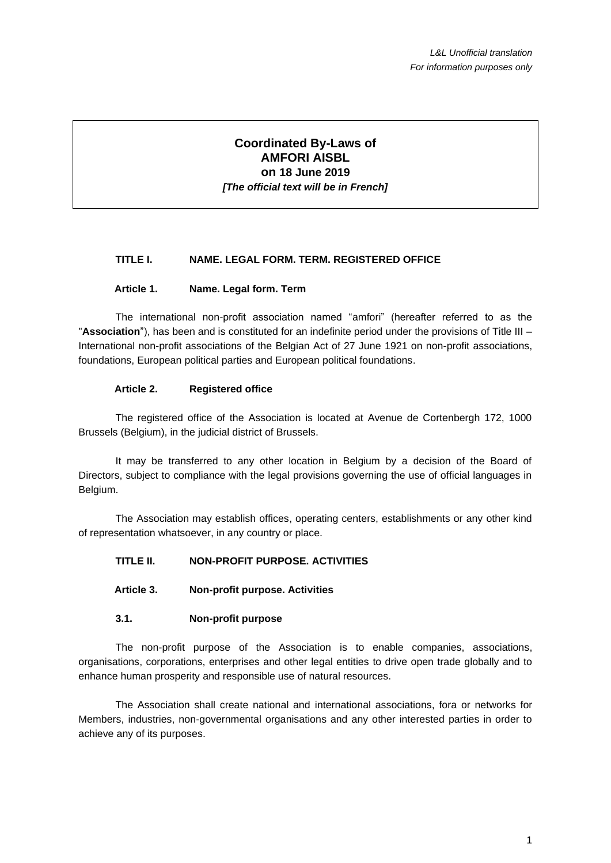# **Coordinated By-Laws of AMFORI AISBL on 18 June 2019** *[The official text will be in French]*

# **TITLE I. NAME. LEGAL FORM. TERM. REGISTERED OFFICE**

### **Article 1. Name. Legal form. Term**

The international non-profit association named "amfori" (hereafter referred to as the "**Association**"), has been and is constituted for an indefinite period under the provisions of Title III – International non-profit associations of the Belgian Act of 27 June 1921 on non-profit associations, foundations, European political parties and European political foundations.

### **Article 2. Registered office**

The registered office of the Association is located at Avenue de Cortenbergh 172, 1000 Brussels (Belgium), in the judicial district of Brussels.

It may be transferred to any other location in Belgium by a decision of the Board of Directors, subject to compliance with the legal provisions governing the use of official languages in Belgium.

The Association may establish offices, operating centers, establishments or any other kind of representation whatsoever, in any country or place.

# **TITLE II. NON-PROFIT PURPOSE. ACTIVITIES**

### **Article 3. Non-profit purpose. Activities**

#### **3.1. Non-profit purpose**

The non-profit purpose of the Association is to enable companies, associations, organisations, corporations, enterprises and other legal entities to drive open trade globally and to enhance human prosperity and responsible use of natural resources.

The Association shall create national and international associations, fora or networks for Members, industries, non-governmental organisations and any other interested parties in order to achieve any of its purposes.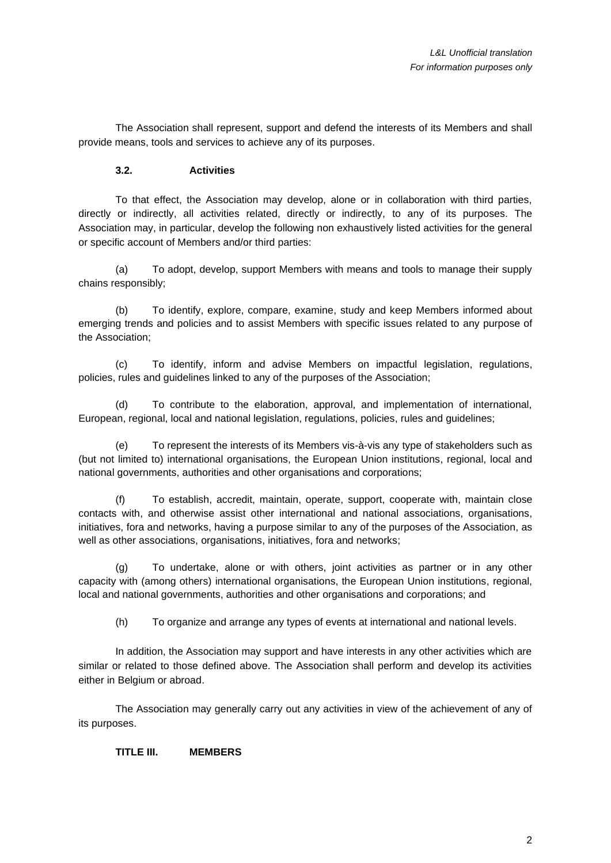The Association shall represent, support and defend the interests of its Members and shall provide means, tools and services to achieve any of its purposes.

# **3.2. Activities**

To that effect, the Association may develop, alone or in collaboration with third parties, directly or indirectly, all activities related, directly or indirectly, to any of its purposes. The Association may, in particular, develop the following non exhaustively listed activities for the general or specific account of Members and/or third parties:

(a) To adopt, develop, support Members with means and tools to manage their supply chains responsibly;

(b) To identify, explore, compare, examine, study and keep Members informed about emerging trends and policies and to assist Members with specific issues related to any purpose of the Association;

(c) To identify, inform and advise Members on impactful legislation, regulations, policies, rules and guidelines linked to any of the purposes of the Association;

(d) To contribute to the elaboration, approval, and implementation of international, European, regional, local and national legislation, regulations, policies, rules and guidelines;

(e) To represent the interests of its Members vis-à-vis any type of stakeholders such as (but not limited to) international organisations, the European Union institutions, regional, local and national governments, authorities and other organisations and corporations;

(f) To establish, accredit, maintain, operate, support, cooperate with, maintain close contacts with, and otherwise assist other international and national associations, organisations, initiatives, fora and networks, having a purpose similar to any of the purposes of the Association, as well as other associations, organisations, initiatives, fora and networks;

(g) To undertake, alone or with others, joint activities as partner or in any other capacity with (among others) international organisations, the European Union institutions, regional, local and national governments, authorities and other organisations and corporations; and

(h) To organize and arrange any types of events at international and national levels.

In addition, the Association may support and have interests in any other activities which are similar or related to those defined above. The Association shall perform and develop its activities either in Belgium or abroad.

The Association may generally carry out any activities in view of the achievement of any of its purposes.

**TITLE III. MEMBERS**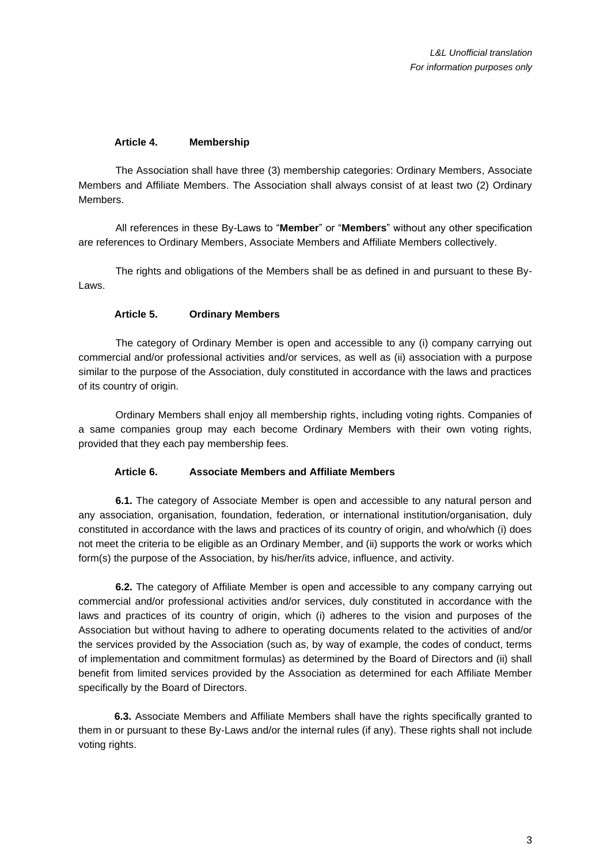### **Article 4. Membership**

The Association shall have three (3) membership categories: Ordinary Members, Associate Members and Affiliate Members. The Association shall always consist of at least two (2) Ordinary Members.

All references in these By-Laws to "**Member**" or "**Members**" without any other specification are references to Ordinary Members, Associate Members and Affiliate Members collectively.

The rights and obligations of the Members shall be as defined in and pursuant to these By-Laws.

### **Article 5. Ordinary Members**

<span id="page-2-1"></span>The category of Ordinary Member is open and accessible to any (i) company carrying out commercial and/or professional activities and/or services, as well as (ii) association with a purpose similar to the purpose of the Association, duly constituted in accordance with the laws and practices of its country of origin.

Ordinary Members shall enjoy all membership rights, including voting rights. Companies of a same companies group may each become Ordinary Members with their own voting rights, provided that they each pay membership fees.

#### **Article 6. Associate Members and Affiliate Members**

<span id="page-2-0"></span>**6.1.** The category of Associate Member is open and accessible to any natural person and any association, organisation, foundation, federation, or international institution/organisation, duly constituted in accordance with the laws and practices of its country of origin, and who/which (i) does not meet the criteria to be eligible as an Ordinary Member, and (ii) supports the work or works which form(s) the purpose of the Association, by his/her/its advice, influence, and activity.

**6.2.** The category of Affiliate Member is open and accessible to any company carrying out commercial and/or professional activities and/or services, duly constituted in accordance with the laws and practices of its country of origin, which (i) adheres to the vision and purposes of the Association but without having to adhere to operating documents related to the activities of and/or the services provided by the Association (such as, by way of example, the codes of conduct, terms of implementation and commitment formulas) as determined by the Board of Directors and (ii) shall benefit from limited services provided by the Association as determined for each Affiliate Member specifically by the Board of Directors.

**6.3.** Associate Members and Affiliate Members shall have the rights specifically granted to them in or pursuant to these By-Laws and/or the internal rules (if any). These rights shall not include voting rights.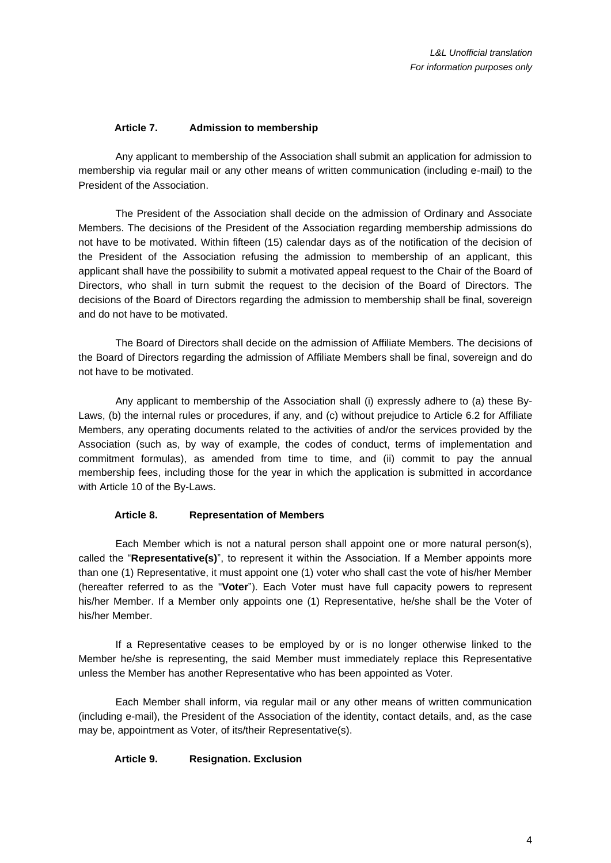# **Article 7. Admission to membership**

Any applicant to membership of the Association shall submit an application for admission to membership via regular mail or any other means of written communication (including e-mail) to the President of the Association.

The President of the Association shall decide on the admission of Ordinary and Associate Members. The decisions of the President of the Association regarding membership admissions do not have to be motivated. Within fifteen (15) calendar days as of the notification of the decision of the President of the Association refusing the admission to membership of an applicant, this applicant shall have the possibility to submit a motivated appeal request to the Chair of the Board of Directors, who shall in turn submit the request to the decision of the Board of Directors. The decisions of the Board of Directors regarding the admission to membership shall be final, sovereign and do not have to be motivated.

The Board of Directors shall decide on the admission of Affiliate Members. The decisions of the Board of Directors regarding the admission of Affiliate Members shall be final, sovereign and do not have to be motivated.

Any applicant to membership of the Association shall (i) expressly adhere to (a) these By-Laws, (b) the internal rules or procedures, if any, and (c) without prejudice to [Article 6.](#page-2-0)2 for Affiliate Members, any operating documents related to the activities of and/or the services provided by the Association (such as, by way of example, the codes of conduct, terms of implementation and commitment formulas), as amended from time to time, and (ii) commit to pay the annual membership fees, including those for the year in which the application is submitted in accordance with [Article 10](#page-5-0) of the By-Laws.

#### **Article 8. Representation of Members**

<span id="page-3-0"></span>Each Member which is not a natural person shall appoint one or more natural person(s), called the "**Representative(s)**", to represent it within the Association. If a Member appoints more than one (1) Representative, it must appoint one (1) voter who shall cast the vote of his/her Member (hereafter referred to as the "**Voter**"). Each Voter must have full capacity powers to represent his/her Member. If a Member only appoints one (1) Representative, he/she shall be the Voter of his/her Member.

If a Representative ceases to be employed by or is no longer otherwise linked to the Member he/she is representing, the said Member must immediately replace this Representative unless the Member has another Representative who has been appointed as Voter.

Each Member shall inform, via regular mail or any other means of written communication (including e-mail), the President of the Association of the identity, contact details, and, as the case may be, appointment as Voter, of its/their Representative(s).

#### **Article 9. Resignation. Exclusion**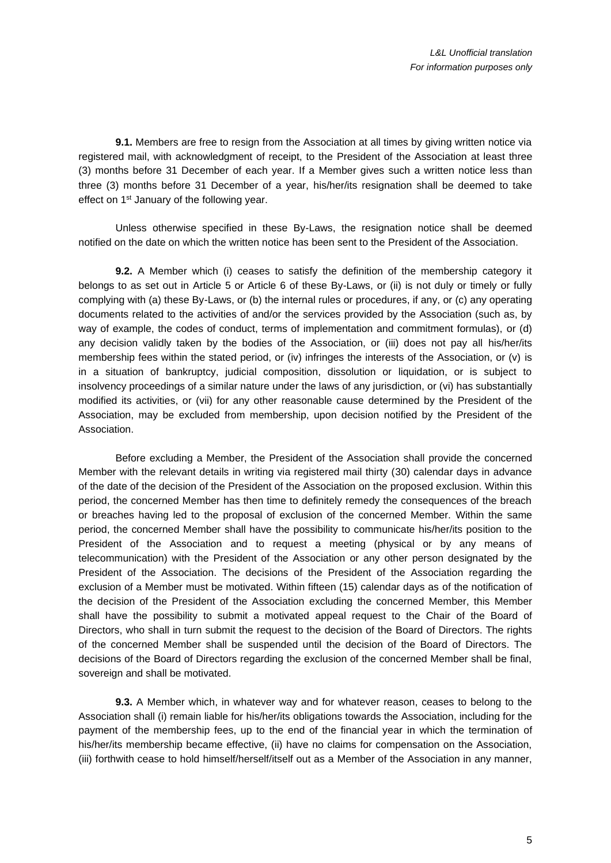**9.1.** Members are free to resign from the Association at all times by giving written notice via registered mail, with acknowledgment of receipt, to the President of the Association at least three (3) months before 31 December of each year. If a Member gives such a written notice less than three (3) months before 31 December of a year, his/her/its resignation shall be deemed to take effect on 1<sup>st</sup> January of the following year.

Unless otherwise specified in these By-Laws, the resignation notice shall be deemed notified on the date on which the written notice has been sent to the President of the Association.

**9.2.** A Member which (i) ceases to satisfy the definition of the membership category it belongs to as set out in [Article 5](#page-2-1) or [Article 6](#page-2-0) of these By-Laws, or (ii) is not duly or timely or fully complying with (a) these By-Laws, or (b) the internal rules or procedures, if any, or (c) any operating documents related to the activities of and/or the services provided by the Association (such as, by way of example, the codes of conduct, terms of implementation and commitment formulas), or (d) any decision validly taken by the bodies of the Association, or (iii) does not pay all his/her/its membership fees within the stated period, or (iv) infringes the interests of the Association, or (v) is in a situation of bankruptcy, judicial composition, dissolution or liquidation, or is subject to insolvency proceedings of a similar nature under the laws of any jurisdiction, or (vi) has substantially modified its activities, or (vii) for any other reasonable cause determined by the President of the Association, may be excluded from membership, upon decision notified by the President of the Association.

Before excluding a Member, the President of the Association shall provide the concerned Member with the relevant details in writing via registered mail thirty (30) calendar days in advance of the date of the decision of the President of the Association on the proposed exclusion. Within this period, the concerned Member has then time to definitely remedy the consequences of the breach or breaches having led to the proposal of exclusion of the concerned Member. Within the same period, the concerned Member shall have the possibility to communicate his/her/its position to the President of the Association and to request a meeting (physical or by any means of telecommunication) with the President of the Association or any other person designated by the President of the Association. The decisions of the President of the Association regarding the exclusion of a Member must be motivated. Within fifteen (15) calendar days as of the notification of the decision of the President of the Association excluding the concerned Member, this Member shall have the possibility to submit a motivated appeal request to the Chair of the Board of Directors, who shall in turn submit the request to the decision of the Board of Directors. The rights of the concerned Member shall be suspended until the decision of the Board of Directors. The decisions of the Board of Directors regarding the exclusion of the concerned Member shall be final, sovereign and shall be motivated.

**9.3.** A Member which, in whatever way and for whatever reason, ceases to belong to the Association shall (i) remain liable for his/her/its obligations towards the Association, including for the payment of the membership fees, up to the end of the financial year in which the termination of his/her/its membership became effective, (ii) have no claims for compensation on the Association, (iii) forthwith cease to hold himself/herself/itself out as a Member of the Association in any manner,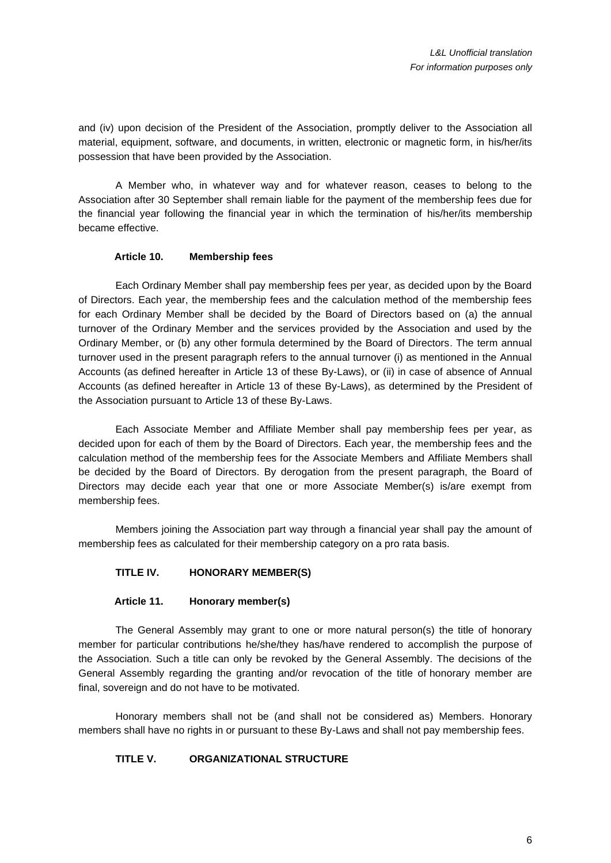and (iv) upon decision of the President of the Association, promptly deliver to the Association all material, equipment, software, and documents, in written, electronic or magnetic form, in his/her/its possession that have been provided by the Association.

A Member who, in whatever way and for whatever reason, ceases to belong to the Association after 30 September shall remain liable for the payment of the membership fees due for the financial year following the financial year in which the termination of his/her/its membership became effective.

# **Article 10. Membership fees**

<span id="page-5-0"></span>Each Ordinary Member shall pay membership fees per year, as decided upon by the Board of Directors. Each year, the membership fees and the calculation method of the membership fees for each Ordinary Member shall be decided by the Board of Directors based on (a) the annual turnover of the Ordinary Member and the services provided by the Association and used by the Ordinary Member, or (b) any other formula determined by the Board of Directors. The term annual turnover used in the present paragraph refers to the annual turnover (i) as mentioned in the Annual Accounts (as defined hereafter in [Article 13](#page-6-0) of these By-Laws), or (ii) in case of absence of Annual Accounts (as defined hereafter in [Article 13](#page-6-0) of these By-Laws), as determined by the President of the Association pursuant to [Article 13](#page-6-0) of these By-Laws.

Each Associate Member and Affiliate Member shall pay membership fees per year, as decided upon for each of them by the Board of Directors. Each year, the membership fees and the calculation method of the membership fees for the Associate Members and Affiliate Members shall be decided by the Board of Directors. By derogation from the present paragraph, the Board of Directors may decide each year that one or more Associate Member(s) is/are exempt from membership fees.

Members joining the Association part way through a financial year shall pay the amount of membership fees as calculated for their membership category on a pro rata basis.

# **TITLE IV. HONORARY MEMBER(S)**

#### **Article 11. Honorary member(s)**

The General Assembly may grant to one or more natural person(s) the title of honorary member for particular contributions he/she/they has/have rendered to accomplish the purpose of the Association. Such a title can only be revoked by the General Assembly. The decisions of the General Assembly regarding the granting and/or revocation of the title of honorary member are final, sovereign and do not have to be motivated.

Honorary members shall not be (and shall not be considered as) Members. Honorary members shall have no rights in or pursuant to these By-Laws and shall not pay membership fees.

# **TITLE V. ORGANIZATIONAL STRUCTURE**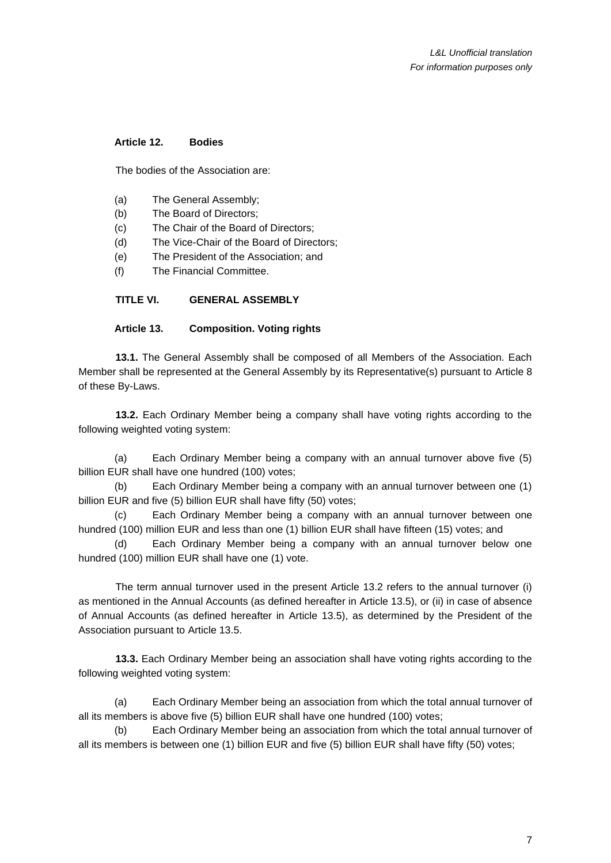# **Article 12. Bodies**

The bodies of the Association are:

- (a) The General Assembly;
- (b) The Board of Directors;
- (c) The Chair of the Board of Directors;
- (d) The Vice-Chair of the Board of Directors;
- (e) The President of the Association; and
- (f) The Financial Committee.

# **TITLE VI. GENERAL ASSEMBLY**

# **Article 13. Composition. Voting rights**

<span id="page-6-0"></span>**13.1.** The General Assembly shall be composed of all Members of the Association. Each Member shall be represented at the General Assembly by its Representative(s) pursuant to [Article 8](#page-3-0) of these By-Laws.

**13.2.** Each Ordinary Member being a company shall have voting rights according to the following weighted voting system:

(a) Each Ordinary Member being a company with an annual turnover above five (5) billion EUR shall have one hundred (100) votes;

(b) Each Ordinary Member being a company with an annual turnover between one (1) billion EUR and five (5) billion EUR shall have fifty (50) votes;

(c) Each Ordinary Member being a company with an annual turnover between one hundred (100) million EUR and less than one (1) billion EUR shall have fifteen (15) votes; and

(d) Each Ordinary Member being a company with an annual turnover below one hundred (100) million EUR shall have one (1) vote.

The term annual turnover used in the present [Article 13.](#page-6-0)2 refers to the annual turnover (i) as mentioned in the Annual Accounts (as defined hereafter in [Article 13.](#page-6-0)5), or (ii) in case of absence of Annual Accounts (as defined hereafter in [Article 13.](#page-6-0)5), as determined by the President of the Association pursuant to [Article 13.](#page-6-0)5.

**13.3.** Each Ordinary Member being an association shall have voting rights according to the following weighted voting system:

(a) Each Ordinary Member being an association from which the total annual turnover of all its members is above five (5) billion EUR shall have one hundred (100) votes;

(b) Each Ordinary Member being an association from which the total annual turnover of all its members is between one (1) billion EUR and five (5) billion EUR shall have fifty (50) votes;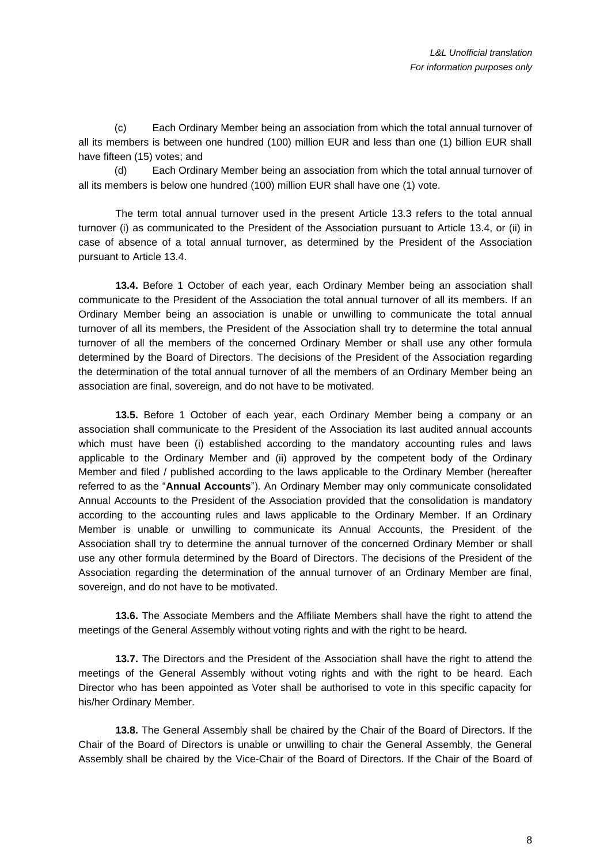(c) Each Ordinary Member being an association from which the total annual turnover of all its members is between one hundred (100) million EUR and less than one (1) billion EUR shall have fifteen (15) votes; and

(d) Each Ordinary Member being an association from which the total annual turnover of all its members is below one hundred (100) million EUR shall have one (1) vote.

The term total annual turnover used in the present [Article 13.](#page-6-0)3 refers to the total annual turnover (i) as communicated to the President of the Association pursuant to [Article 13.](#page-6-0)4, or (ii) in case of absence of a total annual turnover, as determined by the President of the Association pursuant to [Article 13.](#page-6-0)4.

**13.4.** Before 1 October of each year, each Ordinary Member being an association shall communicate to the President of the Association the total annual turnover of all its members. If an Ordinary Member being an association is unable or unwilling to communicate the total annual turnover of all its members, the President of the Association shall try to determine the total annual turnover of all the members of the concerned Ordinary Member or shall use any other formula determined by the Board of Directors. The decisions of the President of the Association regarding the determination of the total annual turnover of all the members of an Ordinary Member being an association are final, sovereign, and do not have to be motivated.

**13.5.** Before 1 October of each year, each Ordinary Member being a company or an association shall communicate to the President of the Association its last audited annual accounts which must have been (i) established according to the mandatory accounting rules and laws applicable to the Ordinary Member and (ii) approved by the competent body of the Ordinary Member and filed / published according to the laws applicable to the Ordinary Member (hereafter referred to as the "**Annual Accounts**"). An Ordinary Member may only communicate consolidated Annual Accounts to the President of the Association provided that the consolidation is mandatory according to the accounting rules and laws applicable to the Ordinary Member. If an Ordinary Member is unable or unwilling to communicate its Annual Accounts, the President of the Association shall try to determine the annual turnover of the concerned Ordinary Member or shall use any other formula determined by the Board of Directors. The decisions of the President of the Association regarding the determination of the annual turnover of an Ordinary Member are final, sovereign, and do not have to be motivated.

**13.6.** The Associate Members and the Affiliate Members shall have the right to attend the meetings of the General Assembly without voting rights and with the right to be heard.

**13.7.** The Directors and the President of the Association shall have the right to attend the meetings of the General Assembly without voting rights and with the right to be heard. Each Director who has been appointed as Voter shall be authorised to vote in this specific capacity for his/her Ordinary Member.

**13.8.** The General Assembly shall be chaired by the Chair of the Board of Directors. If the Chair of the Board of Directors is unable or unwilling to chair the General Assembly, the General Assembly shall be chaired by the Vice-Chair of the Board of Directors. If the Chair of the Board of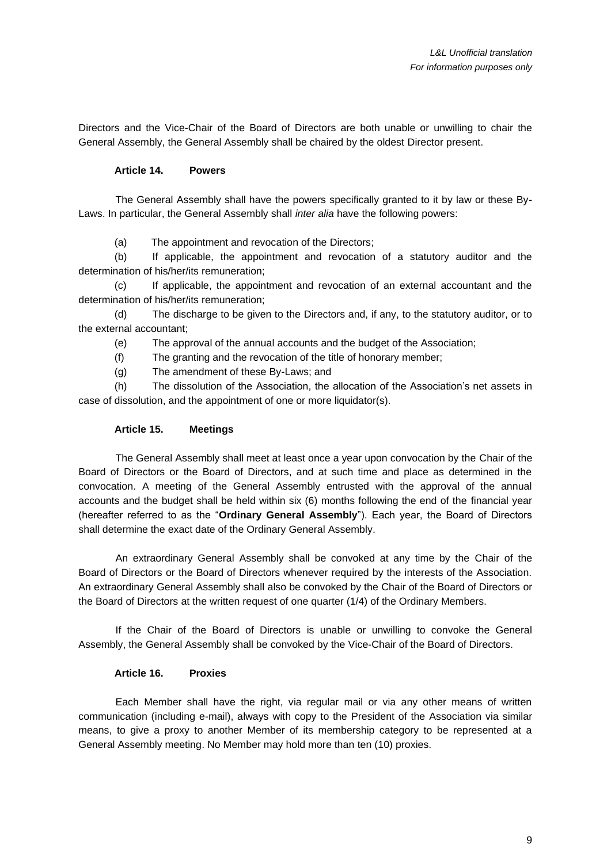Directors and the Vice-Chair of the Board of Directors are both unable or unwilling to chair the General Assembly, the General Assembly shall be chaired by the oldest Director present.

# **Article 14. Powers**

The General Assembly shall have the powers specifically granted to it by law or these By-Laws. In particular, the General Assembly shall *inter alia* have the following powers:

(a) The appointment and revocation of the Directors;

(b) If applicable, the appointment and revocation of a statutory auditor and the determination of his/her/its remuneration;

(c) If applicable, the appointment and revocation of an external accountant and the determination of his/her/its remuneration;

(d) The discharge to be given to the Directors and, if any, to the statutory auditor, or to the external accountant;

(e) The approval of the annual accounts and the budget of the Association;

(f) The granting and the revocation of the title of honorary member;

(g) The amendment of these By-Laws; and

(h) The dissolution of the Association, the allocation of the Association's net assets in case of dissolution, and the appointment of one or more liquidator(s).

### **Article 15. Meetings**

The General Assembly shall meet at least once a year upon convocation by the Chair of the Board of Directors or the Board of Directors, and at such time and place as determined in the convocation. A meeting of the General Assembly entrusted with the approval of the annual accounts and the budget shall be held within six (6) months following the end of the financial year (hereafter referred to as the "**Ordinary General Assembly**"). Each year, the Board of Directors shall determine the exact date of the Ordinary General Assembly.

An extraordinary General Assembly shall be convoked at any time by the Chair of the Board of Directors or the Board of Directors whenever required by the interests of the Association. An extraordinary General Assembly shall also be convoked by the Chair of the Board of Directors or the Board of Directors at the written request of one quarter (1/4) of the Ordinary Members.

If the Chair of the Board of Directors is unable or unwilling to convoke the General Assembly, the General Assembly shall be convoked by the Vice-Chair of the Board of Directors.

# **Article 16. Proxies**

Each Member shall have the right, via regular mail or via any other means of written communication (including e-mail), always with copy to the President of the Association via similar means, to give a proxy to another Member of its membership category to be represented at a General Assembly meeting. No Member may hold more than ten (10) proxies.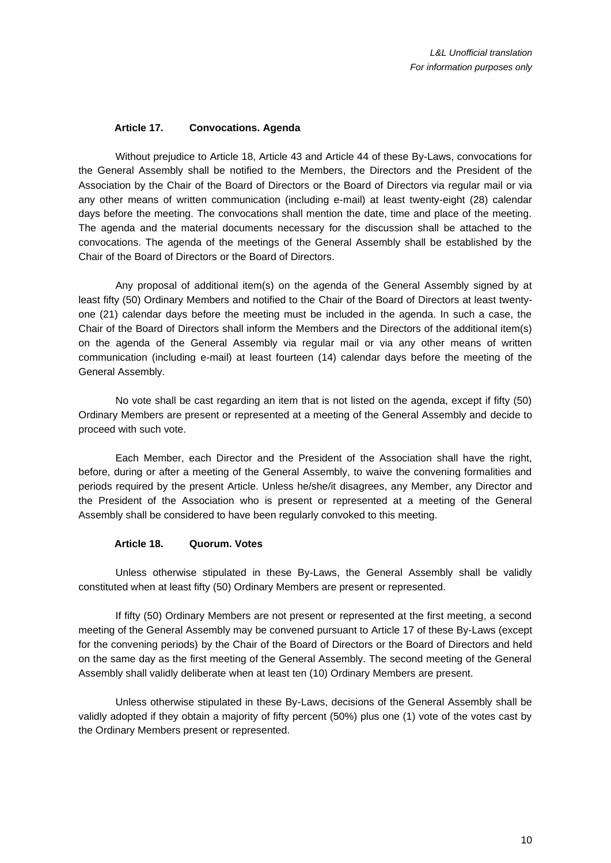### **Article 17. Convocations. Agenda**

<span id="page-9-1"></span>Without prejudice to [Article 18,](#page-9-0) [Article 43](#page-22-0) and [Article 44](#page-23-0) of these By-Laws, convocations for the General Assembly shall be notified to the Members, the Directors and the President of the Association by the Chair of the Board of Directors or the Board of Directors via regular mail or via any other means of written communication (including e-mail) at least twenty-eight (28) calendar days before the meeting. The convocations shall mention the date, time and place of the meeting. The agenda and the material documents necessary for the discussion shall be attached to the convocations. The agenda of the meetings of the General Assembly shall be established by the Chair of the Board of Directors or the Board of Directors.

Any proposal of additional item(s) on the agenda of the General Assembly signed by at least fifty (50) Ordinary Members and notified to the Chair of the Board of Directors at least twentyone (21) calendar days before the meeting must be included in the agenda. In such a case, the Chair of the Board of Directors shall inform the Members and the Directors of the additional item(s) on the agenda of the General Assembly via regular mail or via any other means of written communication (including e-mail) at least fourteen (14) calendar days before the meeting of the General Assembly.

No vote shall be cast regarding an item that is not listed on the agenda, except if fifty (50) Ordinary Members are present or represented at a meeting of the General Assembly and decide to proceed with such vote.

Each Member, each Director and the President of the Association shall have the right, before, during or after a meeting of the General Assembly, to waive the convening formalities and periods required by the present Article. Unless he/she/it disagrees, any Member, any Director and the President of the Association who is present or represented at a meeting of the General Assembly shall be considered to have been regularly convoked to this meeting.

### **Article 18. Quorum. Votes**

<span id="page-9-0"></span>Unless otherwise stipulated in these By-Laws, the General Assembly shall be validly constituted when at least fifty (50) Ordinary Members are present or represented.

If fifty (50) Ordinary Members are not present or represented at the first meeting, a second meeting of the General Assembly may be convened pursuant to [Article 17](#page-9-1) of these By-Laws (except for the convening periods) by the Chair of the Board of Directors or the Board of Directors and held on the same day as the first meeting of the General Assembly. The second meeting of the General Assembly shall validly deliberate when at least ten (10) Ordinary Members are present.

Unless otherwise stipulated in these By-Laws, decisions of the General Assembly shall be validly adopted if they obtain a majority of fifty percent (50%) plus one (1) vote of the votes cast by the Ordinary Members present or represented.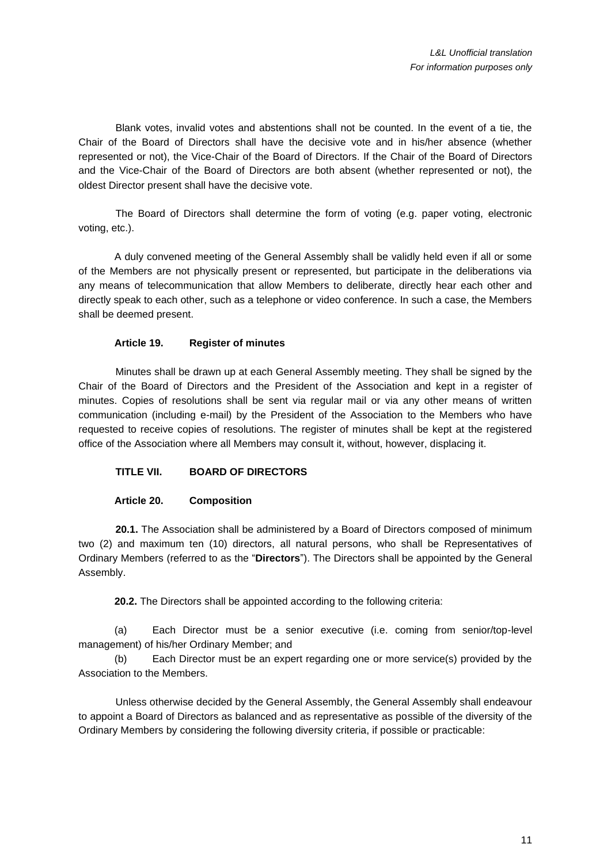Blank votes, invalid votes and abstentions shall not be counted. In the event of a tie, the Chair of the Board of Directors shall have the decisive vote and in his/her absence (whether represented or not), the Vice-Chair of the Board of Directors. If the Chair of the Board of Directors and the Vice-Chair of the Board of Directors are both absent (whether represented or not), the oldest Director present shall have the decisive vote.

The Board of Directors shall determine the form of voting (e.g. paper voting, electronic voting, etc.).

A duly convened meeting of the General Assembly shall be validly held even if all or some of the Members are not physically present or represented, but participate in the deliberations via any means of telecommunication that allow Members to deliberate, directly hear each other and directly speak to each other, such as a telephone or video conference. In such a case, the Members shall be deemed present.

# **Article 19. Register of minutes**

Minutes shall be drawn up at each General Assembly meeting. They shall be signed by the Chair of the Board of Directors and the President of the Association and kept in a register of minutes. Copies of resolutions shall be sent via regular mail or via any other means of written communication (including e-mail) by the President of the Association to the Members who have requested to receive copies of resolutions. The register of minutes shall be kept at the registered office of the Association where all Members may consult it, without, however, displacing it.

# **TITLE VII. BOARD OF DIRECTORS**

# **Article 20. Composition**

**20.1.** The Association shall be administered by a Board of Directors composed of minimum two (2) and maximum ten (10) directors, all natural persons, who shall be Representatives of Ordinary Members (referred to as the "**Directors**"). The Directors shall be appointed by the General Assembly.

**20.2.** The Directors shall be appointed according to the following criteria:

(a) Each Director must be a senior executive (i.e. coming from senior/top-level management) of his/her Ordinary Member; and

(b) Each Director must be an expert regarding one or more service(s) provided by the Association to the Members.

Unless otherwise decided by the General Assembly, the General Assembly shall endeavour to appoint a Board of Directors as balanced and as representative as possible of the diversity of the Ordinary Members by considering the following diversity criteria, if possible or practicable: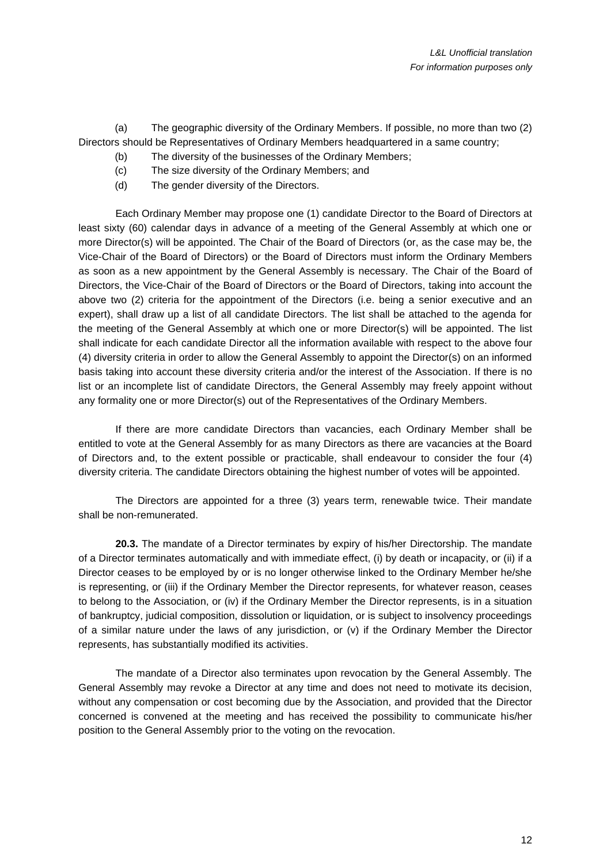(a) The geographic diversity of the Ordinary Members. If possible, no more than two (2) Directors should be Representatives of Ordinary Members headquartered in a same country;

- (b) The diversity of the businesses of the Ordinary Members;
- (c) The size diversity of the Ordinary Members; and
- (d) The gender diversity of the Directors.

Each Ordinary Member may propose one (1) candidate Director to the Board of Directors at least sixty (60) calendar days in advance of a meeting of the General Assembly at which one or more Director(s) will be appointed. The Chair of the Board of Directors (or, as the case may be, the Vice-Chair of the Board of Directors) or the Board of Directors must inform the Ordinary Members as soon as a new appointment by the General Assembly is necessary. The Chair of the Board of Directors, the Vice-Chair of the Board of Directors or the Board of Directors, taking into account the above two (2) criteria for the appointment of the Directors (i.e. being a senior executive and an expert), shall draw up a list of all candidate Directors. The list shall be attached to the agenda for the meeting of the General Assembly at which one or more Director(s) will be appointed. The list shall indicate for each candidate Director all the information available with respect to the above four (4) diversity criteria in order to allow the General Assembly to appoint the Director(s) on an informed basis taking into account these diversity criteria and/or the interest of the Association. If there is no list or an incomplete list of candidate Directors, the General Assembly may freely appoint without any formality one or more Director(s) out of the Representatives of the Ordinary Members.

If there are more candidate Directors than vacancies, each Ordinary Member shall be entitled to vote at the General Assembly for as many Directors as there are vacancies at the Board of Directors and, to the extent possible or practicable, shall endeavour to consider the four (4) diversity criteria. The candidate Directors obtaining the highest number of votes will be appointed.

The Directors are appointed for a three (3) years term, renewable twice. Their mandate shall be non-remunerated.

**20.3.** The mandate of a Director terminates by expiry of his/her Directorship. The mandate of a Director terminates automatically and with immediate effect, (i) by death or incapacity, or (ii) if a Director ceases to be employed by or is no longer otherwise linked to the Ordinary Member he/she is representing, or (iii) if the Ordinary Member the Director represents, for whatever reason, ceases to belong to the Association, or (iv) if the Ordinary Member the Director represents, is in a situation of bankruptcy, judicial composition, dissolution or liquidation, or is subject to insolvency proceedings of a similar nature under the laws of any jurisdiction, or  $(v)$  if the Ordinary Member the Director represents, has substantially modified its activities.

The mandate of a Director also terminates upon revocation by the General Assembly. The General Assembly may revoke a Director at any time and does not need to motivate its decision, without any compensation or cost becoming due by the Association, and provided that the Director concerned is convened at the meeting and has received the possibility to communicate his/her position to the General Assembly prior to the voting on the revocation.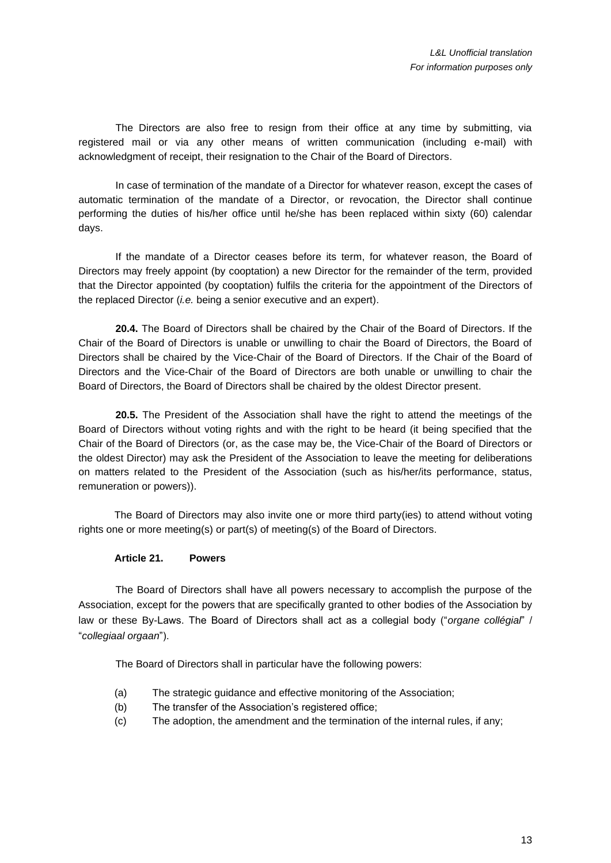The Directors are also free to resign from their office at any time by submitting, via registered mail or via any other means of written communication (including e-mail) with acknowledgment of receipt, their resignation to the Chair of the Board of Directors.

In case of termination of the mandate of a Director for whatever reason, except the cases of automatic termination of the mandate of a Director, or revocation, the Director shall continue performing the duties of his/her office until he/she has been replaced within sixty (60) calendar days.

If the mandate of a Director ceases before its term, for whatever reason, the Board of Directors may freely appoint (by cooptation) a new Director for the remainder of the term, provided that the Director appointed (by cooptation) fulfils the criteria for the appointment of the Directors of the replaced Director (*i.e.* being a senior executive and an expert).

**20.4.** The Board of Directors shall be chaired by the Chair of the Board of Directors. If the Chair of the Board of Directors is unable or unwilling to chair the Board of Directors, the Board of Directors shall be chaired by the Vice-Chair of the Board of Directors. If the Chair of the Board of Directors and the Vice-Chair of the Board of Directors are both unable or unwilling to chair the Board of Directors, the Board of Directors shall be chaired by the oldest Director present.

**20.5.** The President of the Association shall have the right to attend the meetings of the Board of Directors without voting rights and with the right to be heard (it being specified that the Chair of the Board of Directors (or, as the case may be, the Vice-Chair of the Board of Directors or the oldest Director) may ask the President of the Association to leave the meeting for deliberations on matters related to the President of the Association (such as his/her/its performance, status, remuneration or powers)).

The Board of Directors may also invite one or more third party(ies) to attend without voting rights one or more meeting(s) or part(s) of meeting(s) of the Board of Directors.

# **Article 21. Powers**

The Board of Directors shall have all powers necessary to accomplish the purpose of the Association, except for the powers that are specifically granted to other bodies of the Association by law or these By-Laws. The Board of Directors shall act as a collegial body ("*organe collégial*" / "*collegiaal orgaan*").

The Board of Directors shall in particular have the following powers:

- (a) The strategic guidance and effective monitoring of the Association;
- (b) The transfer of the Association's registered office;
- (c) The adoption, the amendment and the termination of the internal rules, if any;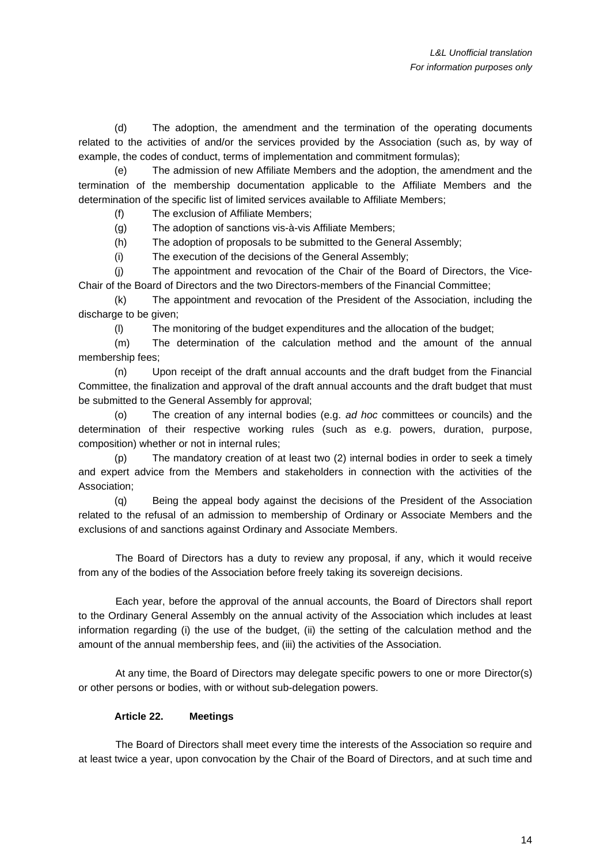(d) The adoption, the amendment and the termination of the operating documents related to the activities of and/or the services provided by the Association (such as, by way of example, the codes of conduct, terms of implementation and commitment formulas);

(e) The admission of new Affiliate Members and the adoption, the amendment and the termination of the membership documentation applicable to the Affiliate Members and the determination of the specific list of limited services available to Affiliate Members;

(f) The exclusion of Affiliate Members;

(g) The adoption of sanctions vis-à-vis Affiliate Members;

(h) The adoption of proposals to be submitted to the General Assembly;

(i) The execution of the decisions of the General Assembly;

(j) The appointment and revocation of the Chair of the Board of Directors, the Vice-Chair of the Board of Directors and the two Directors-members of the Financial Committee;

(k) The appointment and revocation of the President of the Association, including the discharge to be given;

(l) The monitoring of the budget expenditures and the allocation of the budget;

(m) The determination of the calculation method and the amount of the annual membership fees;

(n) Upon receipt of the draft annual accounts and the draft budget from the Financial Committee, the finalization and approval of the draft annual accounts and the draft budget that must be submitted to the General Assembly for approval;

(o) The creation of any internal bodies (e.g. *ad hoc* committees or councils) and the determination of their respective working rules (such as e.g. powers, duration, purpose, composition) whether or not in internal rules;

(p) The mandatory creation of at least two (2) internal bodies in order to seek a timely and expert advice from the Members and stakeholders in connection with the activities of the Association;

(q) Being the appeal body against the decisions of the President of the Association related to the refusal of an admission to membership of Ordinary or Associate Members and the exclusions of and sanctions against Ordinary and Associate Members.

The Board of Directors has a duty to review any proposal, if any, which it would receive from any of the bodies of the Association before freely taking its sovereign decisions.

Each year, before the approval of the annual accounts, the Board of Directors shall report to the Ordinary General Assembly on the annual activity of the Association which includes at least information regarding (i) the use of the budget, (ii) the setting of the calculation method and the amount of the annual membership fees, and (iii) the activities of the Association.

At any time, the Board of Directors may delegate specific powers to one or more Director(s) or other persons or bodies, with or without sub-delegation powers.

### **Article 22. Meetings**

The Board of Directors shall meet every time the interests of the Association so require and at least twice a year, upon convocation by the Chair of the Board of Directors, and at such time and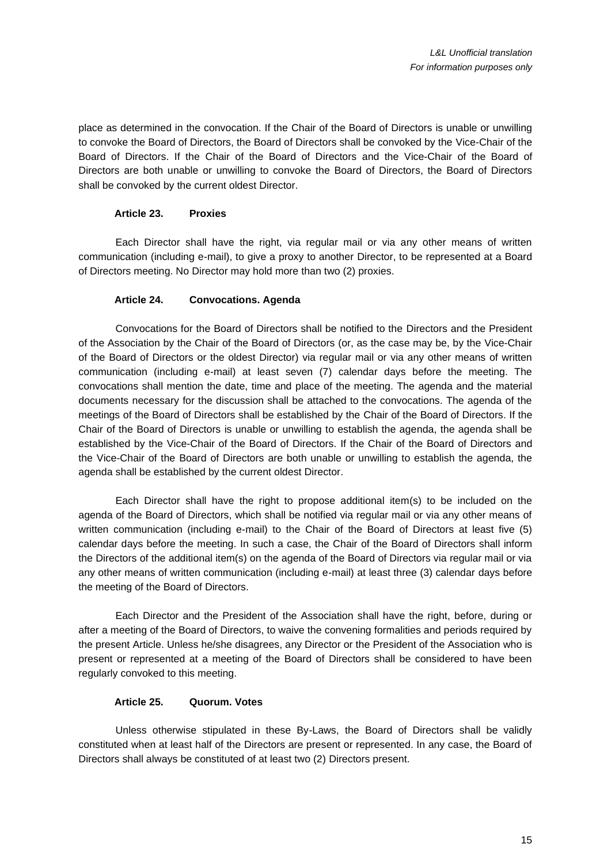place as determined in the convocation. If the Chair of the Board of Directors is unable or unwilling to convoke the Board of Directors, the Board of Directors shall be convoked by the Vice-Chair of the Board of Directors. If the Chair of the Board of Directors and the Vice-Chair of the Board of Directors are both unable or unwilling to convoke the Board of Directors, the Board of Directors shall be convoked by the current oldest Director.

### **Article 23. Proxies**

Each Director shall have the right, via regular mail or via any other means of written communication (including e-mail), to give a proxy to another Director, to be represented at a Board of Directors meeting. No Director may hold more than two (2) proxies.

### **Article 24. Convocations. Agenda**

Convocations for the Board of Directors shall be notified to the Directors and the President of the Association by the Chair of the Board of Directors (or, as the case may be, by the Vice-Chair of the Board of Directors or the oldest Director) via regular mail or via any other means of written communication (including e-mail) at least seven (7) calendar days before the meeting. The convocations shall mention the date, time and place of the meeting. The agenda and the material documents necessary for the discussion shall be attached to the convocations. The agenda of the meetings of the Board of Directors shall be established by the Chair of the Board of Directors. If the Chair of the Board of Directors is unable or unwilling to establish the agenda, the agenda shall be established by the Vice-Chair of the Board of Directors. If the Chair of the Board of Directors and the Vice-Chair of the Board of Directors are both unable or unwilling to establish the agenda, the agenda shall be established by the current oldest Director.

Each Director shall have the right to propose additional item(s) to be included on the agenda of the Board of Directors, which shall be notified via regular mail or via any other means of written communication (including e-mail) to the Chair of the Board of Directors at least five (5) calendar days before the meeting. In such a case, the Chair of the Board of Directors shall inform the Directors of the additional item(s) on the agenda of the Board of Directors via regular mail or via any other means of written communication (including e-mail) at least three (3) calendar days before the meeting of the Board of Directors.

Each Director and the President of the Association shall have the right, before, during or after a meeting of the Board of Directors, to waive the convening formalities and periods required by the present Article. Unless he/she disagrees, any Director or the President of the Association who is present or represented at a meeting of the Board of Directors shall be considered to have been regularly convoked to this meeting.

### **Article 25. Quorum. Votes**

Unless otherwise stipulated in these By-Laws, the Board of Directors shall be validly constituted when at least half of the Directors are present or represented. In any case, the Board of Directors shall always be constituted of at least two (2) Directors present.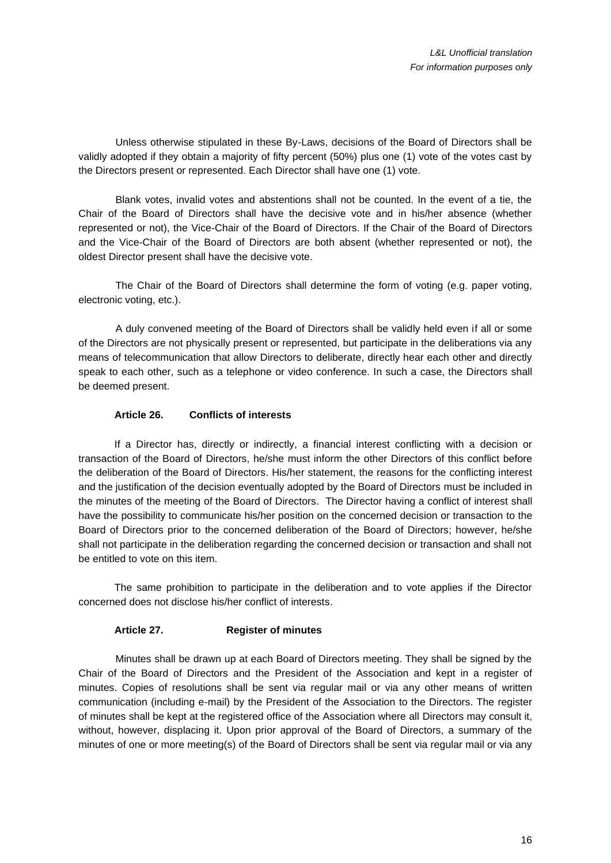Unless otherwise stipulated in these By-Laws, decisions of the Board of Directors shall be validly adopted if they obtain a majority of fifty percent (50%) plus one (1) vote of the votes cast by the Directors present or represented. Each Director shall have one (1) vote.

Blank votes, invalid votes and abstentions shall not be counted. In the event of a tie, the Chair of the Board of Directors shall have the decisive vote and in his/her absence (whether represented or not), the Vice-Chair of the Board of Directors. If the Chair of the Board of Directors and the Vice-Chair of the Board of Directors are both absent (whether represented or not), the oldest Director present shall have the decisive vote.

The Chair of the Board of Directors shall determine the form of voting (e.g. paper voting, electronic voting, etc.).

A duly convened meeting of the Board of Directors shall be validly held even if all or some of the Directors are not physically present or represented, but participate in the deliberations via any means of telecommunication that allow Directors to deliberate, directly hear each other and directly speak to each other, such as a telephone or video conference. In such a case, the Directors shall be deemed present.

### **Article 26. Conflicts of interests**

If a Director has, directly or indirectly, a financial interest conflicting with a decision or transaction of the Board of Directors, he/she must inform the other Directors of this conflict before the deliberation of the Board of Directors. His/her statement, the reasons for the conflicting interest and the justification of the decision eventually adopted by the Board of Directors must be included in the minutes of the meeting of the Board of Directors. The Director having a conflict of interest shall have the possibility to communicate his/her position on the concerned decision or transaction to the Board of Directors prior to the concerned deliberation of the Board of Directors; however, he/she shall not participate in the deliberation regarding the concerned decision or transaction and shall not be entitled to vote on this item.

The same prohibition to participate in the deliberation and to vote applies if the Director concerned does not disclose his/her conflict of interests.

# **Article 27. Register of minutes**

Minutes shall be drawn up at each Board of Directors meeting. They shall be signed by the Chair of the Board of Directors and the President of the Association and kept in a register of minutes. Copies of resolutions shall be sent via regular mail or via any other means of written communication (including e-mail) by the President of the Association to the Directors. The register of minutes shall be kept at the registered office of the Association where all Directors may consult it, without, however, displacing it. Upon prior approval of the Board of Directors, a summary of the minutes of one or more meeting(s) of the Board of Directors shall be sent via regular mail or via any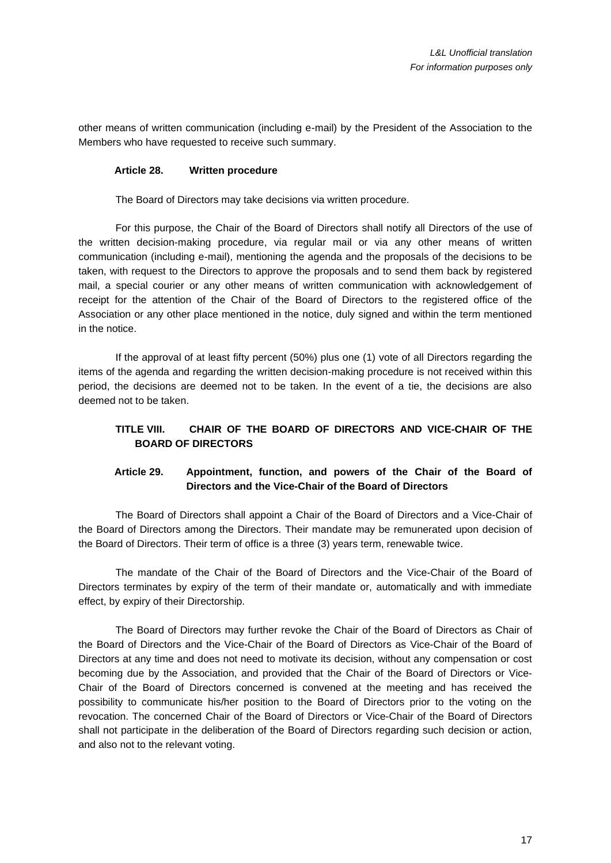other means of written communication (including e-mail) by the President of the Association to the Members who have requested to receive such summary.

#### **Article 28. Written procedure**

The Board of Directors may take decisions via written procedure.

For this purpose, the Chair of the Board of Directors shall notify all Directors of the use of the written decision-making procedure, via regular mail or via any other means of written communication (including e-mail), mentioning the agenda and the proposals of the decisions to be taken, with request to the Directors to approve the proposals and to send them back by registered mail, a special courier or any other means of written communication with acknowledgement of receipt for the attention of the Chair of the Board of Directors to the registered office of the Association or any other place mentioned in the notice, duly signed and within the term mentioned in the notice.

If the approval of at least fifty percent (50%) plus one (1) vote of all Directors regarding the items of the agenda and regarding the written decision-making procedure is not received within this period, the decisions are deemed not to be taken. In the event of a tie, the decisions are also deemed not to be taken.

# **TITLE VIII. CHAIR OF THE BOARD OF DIRECTORS AND VICE-CHAIR OF THE BOARD OF DIRECTORS**

# **Article 29. Appointment, function, and powers of the Chair of the Board of Directors and the Vice-Chair of the Board of Directors**

The Board of Directors shall appoint a Chair of the Board of Directors and a Vice-Chair of the Board of Directors among the Directors. Their mandate may be remunerated upon decision of the Board of Directors. Their term of office is a three (3) years term, renewable twice.

The mandate of the Chair of the Board of Directors and the Vice-Chair of the Board of Directors terminates by expiry of the term of their mandate or, automatically and with immediate effect, by expiry of their Directorship.

The Board of Directors may further revoke the Chair of the Board of Directors as Chair of the Board of Directors and the Vice-Chair of the Board of Directors as Vice-Chair of the Board of Directors at any time and does not need to motivate its decision, without any compensation or cost becoming due by the Association, and provided that the Chair of the Board of Directors or Vice-Chair of the Board of Directors concerned is convened at the meeting and has received the possibility to communicate his/her position to the Board of Directors prior to the voting on the revocation. The concerned Chair of the Board of Directors or Vice-Chair of the Board of Directors shall not participate in the deliberation of the Board of Directors regarding such decision or action, and also not to the relevant voting.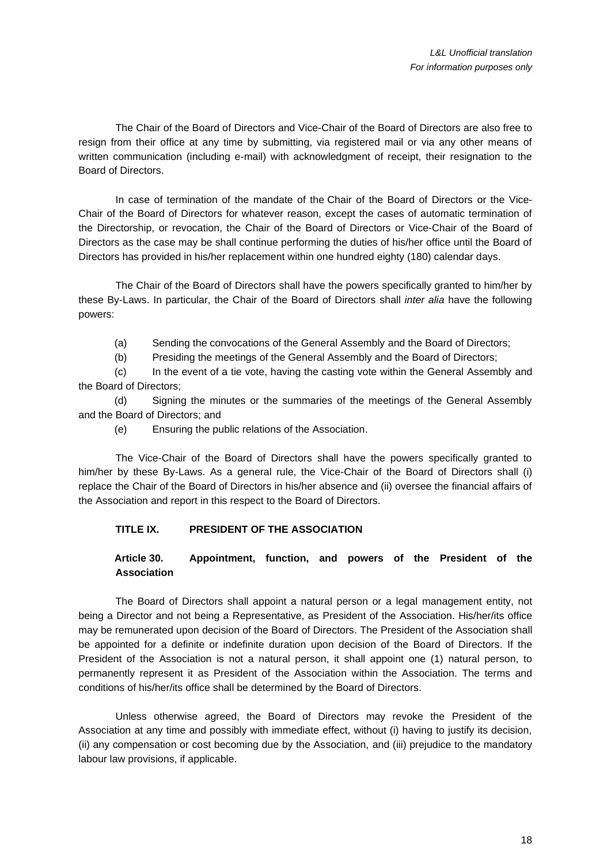The Chair of the Board of Directors and Vice-Chair of the Board of Directors are also free to resign from their office at any time by submitting, via registered mail or via any other means of written communication (including e-mail) with acknowledgment of receipt, their resignation to the Board of Directors.

In case of termination of the mandate of the Chair of the Board of Directors or the Vice-Chair of the Board of Directors for whatever reason, except the cases of automatic termination of the Directorship, or revocation, the Chair of the Board of Directors or Vice-Chair of the Board of Directors as the case may be shall continue performing the duties of his/her office until the Board of Directors has provided in his/her replacement within one hundred eighty (180) calendar days.

The Chair of the Board of Directors shall have the powers specifically granted to him/her by these By-Laws. In particular, the Chair of the Board of Directors shall *inter alia* have the following powers:

(a) Sending the convocations of the General Assembly and the Board of Directors;

(b) Presiding the meetings of the General Assembly and the Board of Directors;

(c) In the event of a tie vote, having the casting vote within the General Assembly and the Board of Directors;

(d) Signing the minutes or the summaries of the meetings of the General Assembly and the Board of Directors; and

(e) Ensuring the public relations of the Association.

The Vice-Chair of the Board of Directors shall have the powers specifically granted to him/her by these By-Laws. As a general rule, the Vice-Chair of the Board of Directors shall (i) replace the Chair of the Board of Directors in his/her absence and (ii) oversee the financial affairs of the Association and report in this respect to the Board of Directors.

# **TITLE IX. PRESIDENT OF THE ASSOCIATION**

# **Article 30. Appointment, function, and powers of the President of the Association**

The Board of Directors shall appoint a natural person or a legal management entity, not being a Director and not being a Representative, as President of the Association. His/her/its office may be remunerated upon decision of the Board of Directors. The President of the Association shall be appointed for a definite or indefinite duration upon decision of the Board of Directors. If the President of the Association is not a natural person, it shall appoint one (1) natural person, to permanently represent it as President of the Association within the Association. The terms and conditions of his/her/its office shall be determined by the Board of Directors.

Unless otherwise agreed, the Board of Directors may revoke the President of the Association at any time and possibly with immediate effect, without (i) having to justify its decision, (ii) any compensation or cost becoming due by the Association, and (iii) prejudice to the mandatory labour law provisions, if applicable.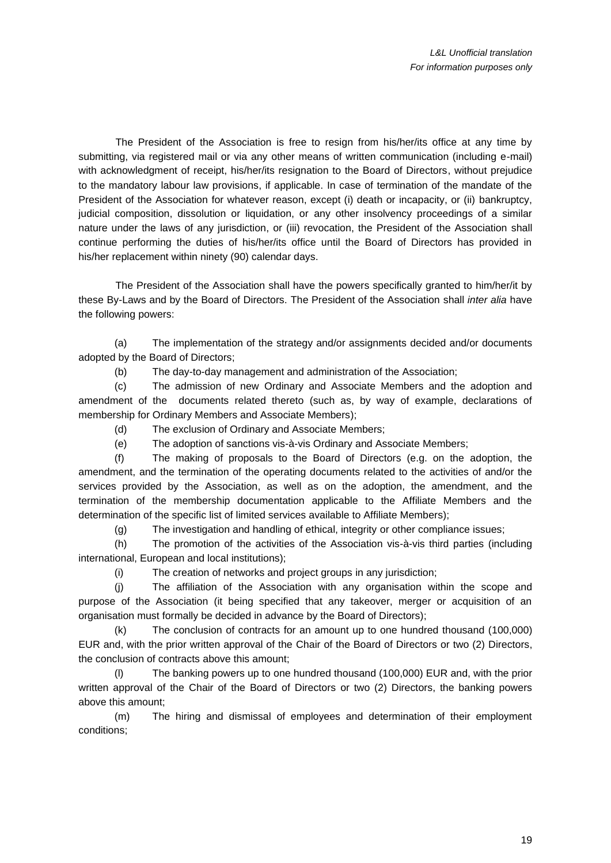The President of the Association is free to resign from his/her/its office at any time by submitting, via registered mail or via any other means of written communication (including e-mail) with acknowledgment of receipt, his/her/its resignation to the Board of Directors, without prejudice to the mandatory labour law provisions, if applicable. In case of termination of the mandate of the President of the Association for whatever reason, except (i) death or incapacity, or (ii) bankruptcy, judicial composition, dissolution or liquidation, or any other insolvency proceedings of a similar nature under the laws of any jurisdiction, or (iii) revocation, the President of the Association shall continue performing the duties of his/her/its office until the Board of Directors has provided in his/her replacement within ninety (90) calendar days.

The President of the Association shall have the powers specifically granted to him/her/it by these By-Laws and by the Board of Directors. The President of the Association shall *inter alia* have the following powers:

(a) The implementation of the strategy and/or assignments decided and/or documents adopted by the Board of Directors;

(b) The day-to-day management and administration of the Association;

(c) The admission of new Ordinary and Associate Members and the adoption and amendment of the documents related thereto (such as, by way of example, declarations of membership for Ordinary Members and Associate Members);

- (d) The exclusion of Ordinary and Associate Members;
- (e) The adoption of sanctions vis-à-vis Ordinary and Associate Members;

(f) The making of proposals to the Board of Directors (e.g. on the adoption, the amendment, and the termination of the operating documents related to the activities of and/or the services provided by the Association, as well as on the adoption, the amendment, and the termination of the membership documentation applicable to the Affiliate Members and the determination of the specific list of limited services available to Affiliate Members);

(g) The investigation and handling of ethical, integrity or other compliance issues;

(h) The promotion of the activities of the Association vis-à-vis third parties (including international, European and local institutions);

(i) The creation of networks and project groups in any jurisdiction;

(j) The affiliation of the Association with any organisation within the scope and purpose of the Association (it being specified that any takeover, merger or acquisition of an organisation must formally be decided in advance by the Board of Directors);

(k) The conclusion of contracts for an amount up to one hundred thousand (100,000) EUR and, with the prior written approval of the Chair of the Board of Directors or two (2) Directors, the conclusion of contracts above this amount;

(l) The banking powers up to one hundred thousand (100,000) EUR and, with the prior written approval of the Chair of the Board of Directors or two (2) Directors, the banking powers above this amount;

(m) The hiring and dismissal of employees and determination of their employment conditions;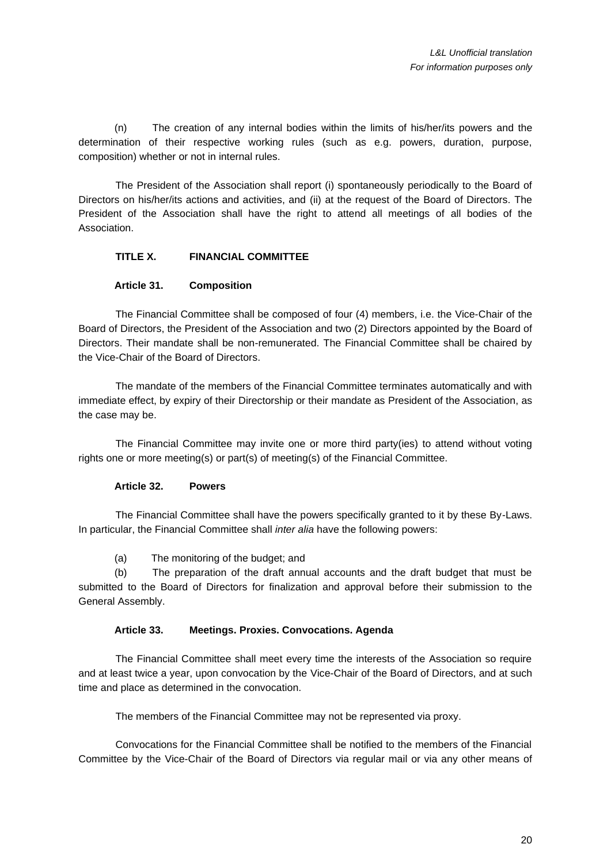(n) The creation of any internal bodies within the limits of his/her/its powers and the determination of their respective working rules (such as e.g. powers, duration, purpose, composition) whether or not in internal rules.

The President of the Association shall report (i) spontaneously periodically to the Board of Directors on his/her/its actions and activities, and (ii) at the request of the Board of Directors. The President of the Association shall have the right to attend all meetings of all bodies of the Association.

# **TITLE X. FINANCIAL COMMITTEE**

# **Article 31. Composition**

The Financial Committee shall be composed of four (4) members, i.e. the Vice-Chair of the Board of Directors, the President of the Association and two (2) Directors appointed by the Board of Directors. Their mandate shall be non-remunerated. The Financial Committee shall be chaired by the Vice-Chair of the Board of Directors.

The mandate of the members of the Financial Committee terminates automatically and with immediate effect, by expiry of their Directorship or their mandate as President of the Association, as the case may be.

The Financial Committee may invite one or more third party(ies) to attend without voting rights one or more meeting(s) or part(s) of meeting(s) of the Financial Committee.

#### **Article 32. Powers**

<span id="page-19-0"></span>The Financial Committee shall have the powers specifically granted to it by these By-Laws. In particular, the Financial Committee shall *inter alia* have the following powers:

(a) The monitoring of the budget; and

<span id="page-19-1"></span>(b) The preparation of the draft annual accounts and the draft budget that must be submitted to the Board of Directors for finalization and approval before their submission to the General Assembly.

#### **Article 33. Meetings. Proxies. Convocations. Agenda**

The Financial Committee shall meet every time the interests of the Association so require and at least twice a year, upon convocation by the Vice-Chair of the Board of Directors, and at such time and place as determined in the convocation.

The members of the Financial Committee may not be represented via proxy.

Convocations for the Financial Committee shall be notified to the members of the Financial Committee by the Vice-Chair of the Board of Directors via regular mail or via any other means of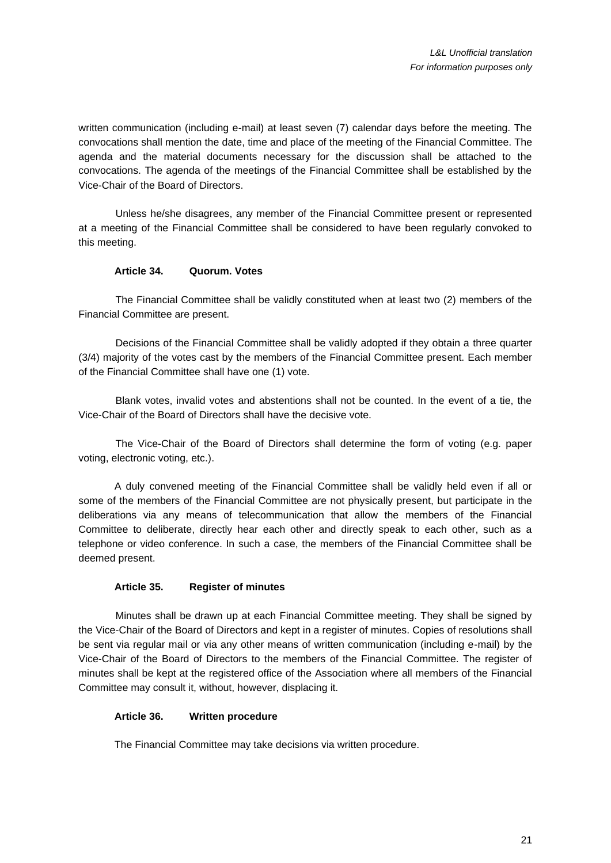written communication (including e-mail) at least seven (7) calendar days before the meeting. The convocations shall mention the date, time and place of the meeting of the Financial Committee. The agenda and the material documents necessary for the discussion shall be attached to the convocations. The agenda of the meetings of the Financial Committee shall be established by the Vice-Chair of the Board of Directors.

Unless he/she disagrees, any member of the Financial Committee present or represented at a meeting of the Financial Committee shall be considered to have been regularly convoked to this meeting.

### **Article 34. Quorum. Votes**

The Financial Committee shall be validly constituted when at least two (2) members of the Financial Committee are present.

Decisions of the Financial Committee shall be validly adopted if they obtain a three quarter (3/4) majority of the votes cast by the members of the Financial Committee present. Each member of the Financial Committee shall have one (1) vote.

Blank votes, invalid votes and abstentions shall not be counted. In the event of a tie, the Vice-Chair of the Board of Directors shall have the decisive vote.

The Vice-Chair of the Board of Directors shall determine the form of voting (e.g. paper voting, electronic voting, etc.).

A duly convened meeting of the Financial Committee shall be validly held even if all or some of the members of the Financial Committee are not physically present, but participate in the deliberations via any means of telecommunication that allow the members of the Financial Committee to deliberate, directly hear each other and directly speak to each other, such as a telephone or video conference. In such a case, the members of the Financial Committee shall be deemed present.

# **Article 35. Register of minutes**

Minutes shall be drawn up at each Financial Committee meeting. They shall be signed by the Vice-Chair of the Board of Directors and kept in a register of minutes. Copies of resolutions shall be sent via regular mail or via any other means of written communication (including e-mail) by the Vice-Chair of the Board of Directors to the members of the Financial Committee. The register of minutes shall be kept at the registered office of the Association where all members of the Financial Committee may consult it, without, however, displacing it.

#### **Article 36. Written procedure**

The Financial Committee may take decisions via written procedure.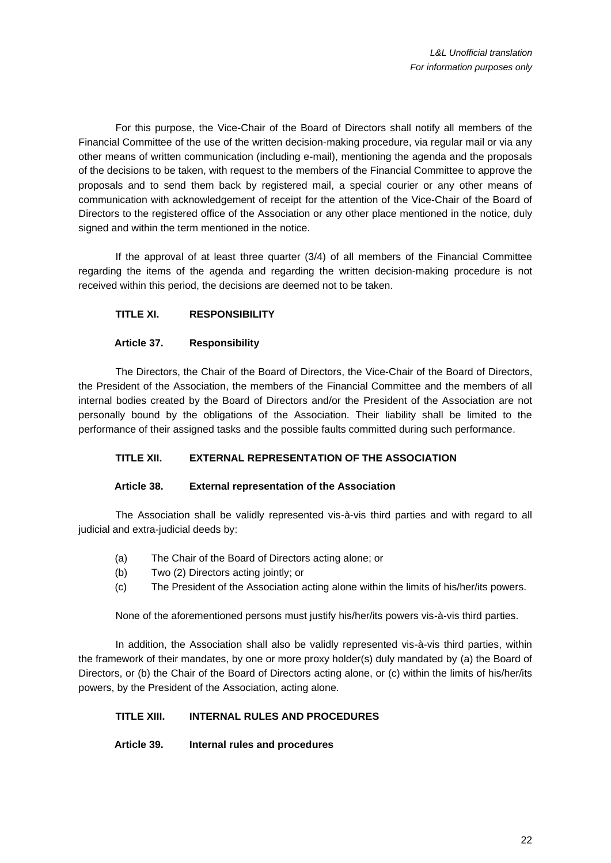For this purpose, the Vice-Chair of the Board of Directors shall notify all members of the Financial Committee of the use of the written decision-making procedure, via regular mail or via any other means of written communication (including e-mail), mentioning the agenda and the proposals of the decisions to be taken, with request to the members of the Financial Committee to approve the proposals and to send them back by registered mail, a special courier or any other means of communication with acknowledgement of receipt for the attention of the Vice-Chair of the Board of Directors to the registered office of the Association or any other place mentioned in the notice, duly signed and within the term mentioned in the notice.

If the approval of at least three quarter (3/4) of all members of the Financial Committee regarding the items of the agenda and regarding the written decision-making procedure is not received within this period, the decisions are deemed not to be taken.

# **TITLE XI. RESPONSIBILITY**

# **Article 37. Responsibility**

The Directors, the Chair of the Board of Directors, the Vice-Chair of the Board of Directors, the President of the Association, the members of the Financial Committee and the members of all internal bodies created by the Board of Directors and/or the President of the Association are not personally bound by the obligations of the Association. Their liability shall be limited to the performance of their assigned tasks and the possible faults committed during such performance.

# **TITLE XII. EXTERNAL REPRESENTATION OF THE ASSOCIATION**

# **Article 38. External representation of the Association**

The Association shall be validly represented vis-à-vis third parties and with regard to all judicial and extra-judicial deeds by:

- (a) The Chair of the Board of Directors acting alone; or
- (b) Two (2) Directors acting jointly; or
- (c) The President of the Association acting alone within the limits of his/her/its powers.

None of the aforementioned persons must justify his/her/its powers vis-à-vis third parties.

In addition, the Association shall also be validly represented vis-à-vis third parties, within the framework of their mandates, by one or more proxy holder(s) duly mandated by (a) the Board of Directors, or (b) the Chair of the Board of Directors acting alone, or (c) within the limits of his/her/its powers, by the President of the Association, acting alone.

# **TITLE XIII. INTERNAL RULES AND PROCEDURES**

**Article 39. Internal rules and procedures**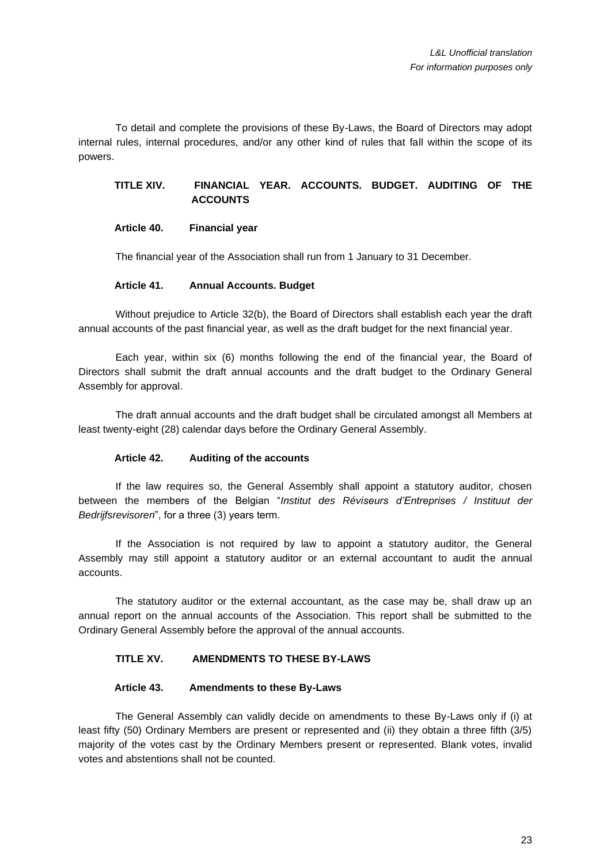To detail and complete the provisions of these By-Laws, the Board of Directors may adopt internal rules, internal procedures, and/or any other kind of rules that fall within the scope of its powers.

**TITLE XIV. FINANCIAL YEAR. ACCOUNTS. BUDGET. AUDITING OF THE ACCOUNTS**

**Article 40. Financial year**

The financial year of the Association shall run from 1 January to 31 December.

#### **Article 41. Annual Accounts. Budget**

Without prejudice to [Article 32](#page-19-0)[\(b\),](#page-19-1) the Board of Directors shall establish each year the draft annual accounts of the past financial year, as well as the draft budget for the next financial year.

Each year, within six (6) months following the end of the financial year, the Board of Directors shall submit the draft annual accounts and the draft budget to the Ordinary General Assembly for approval.

The draft annual accounts and the draft budget shall be circulated amongst all Members at least twenty-eight (28) calendar days before the Ordinary General Assembly.

# **Article 42. Auditing of the accounts**

If the law requires so, the General Assembly shall appoint a statutory auditor, chosen between the members of the Belgian "*Institut des Réviseurs d'Entreprises / Instituut der Bedrijfsrevisoren*", for a three (3) years term.

If the Association is not required by law to appoint a statutory auditor, the General Assembly may still appoint a statutory auditor or an external accountant to audit the annual accounts.

The statutory auditor or the external accountant, as the case may be, shall draw up an annual report on the annual accounts of the Association. This report shall be submitted to the Ordinary General Assembly before the approval of the annual accounts.

# **TITLE XV. AMENDMENTS TO THESE BY-LAWS**

#### **Article 43. Amendments to these By-Laws**

<span id="page-22-0"></span>The General Assembly can validly decide on amendments to these By-Laws only if (i) at least fifty (50) Ordinary Members are present or represented and (ii) they obtain a three fifth (3/5) majority of the votes cast by the Ordinary Members present or represented. Blank votes, invalid votes and abstentions shall not be counted.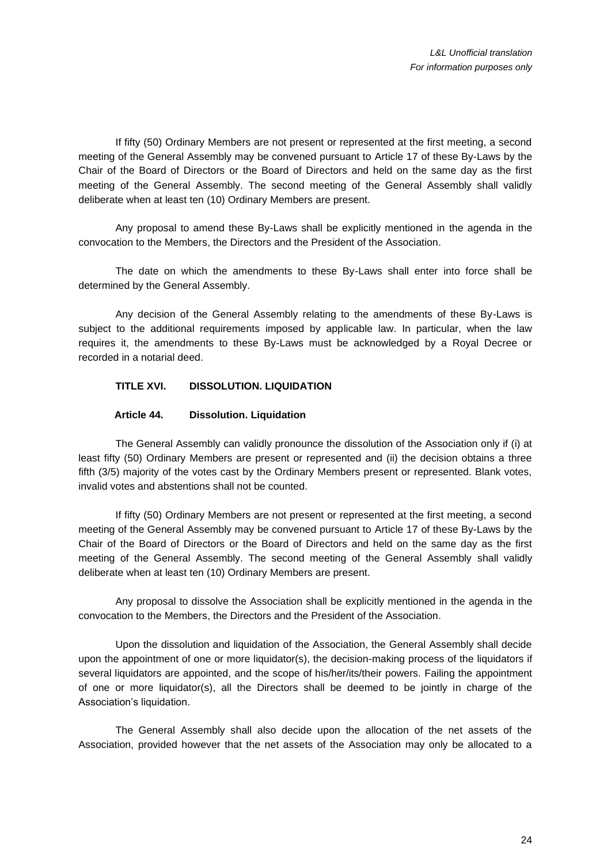If fifty (50) Ordinary Members are not present or represented at the first meeting, a second meeting of the General Assembly may be convened pursuant to [Article 17](#page-9-1) of these By-Laws by the Chair of the Board of Directors or the Board of Directors and held on the same day as the first meeting of the General Assembly. The second meeting of the General Assembly shall validly deliberate when at least ten (10) Ordinary Members are present.

Any proposal to amend these By-Laws shall be explicitly mentioned in the agenda in the convocation to the Members, the Directors and the President of the Association.

The date on which the amendments to these By-Laws shall enter into force shall be determined by the General Assembly.

Any decision of the General Assembly relating to the amendments of these By-Laws is subject to the additional requirements imposed by applicable law. In particular, when the law requires it, the amendments to these By-Laws must be acknowledged by a Royal Decree or recorded in a notarial deed.

# **TITLE XVI. DISSOLUTION. LIQUIDATION**

#### **Article 44. Dissolution. Liquidation**

<span id="page-23-0"></span>The General Assembly can validly pronounce the dissolution of the Association only if (i) at least fifty (50) Ordinary Members are present or represented and (ii) the decision obtains a three fifth (3/5) majority of the votes cast by the Ordinary Members present or represented. Blank votes, invalid votes and abstentions shall not be counted.

If fifty (50) Ordinary Members are not present or represented at the first meeting, a second meeting of the General Assembly may be convened pursuant to [Article 17](#page-9-1) of these By-Laws by the Chair of the Board of Directors or the Board of Directors and held on the same day as the first meeting of the General Assembly. The second meeting of the General Assembly shall validly deliberate when at least ten (10) Ordinary Members are present.

Any proposal to dissolve the Association shall be explicitly mentioned in the agenda in the convocation to the Members, the Directors and the President of the Association.

Upon the dissolution and liquidation of the Association, the General Assembly shall decide upon the appointment of one or more liquidator(s), the decision-making process of the liquidators if several liquidators are appointed, and the scope of his/her/its/their powers. Failing the appointment of one or more liquidator(s), all the Directors shall be deemed to be jointly in charge of the Association's liquidation.

The General Assembly shall also decide upon the allocation of the net assets of the Association, provided however that the net assets of the Association may only be allocated to a